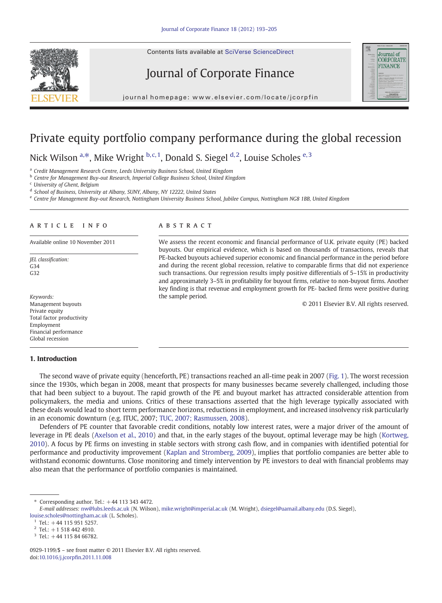Contents lists available at SciVerse ScienceDirect

## Journal of Corporate Finance



journal homepage: www.elsevier.com/locate/jcorp/locate/jcorp/locate/jcorp/locate/jcorp/interval homepage:  $\mathcal{O}(\mathcal{C})$ 

## Private equity portfolio company performance during the global recession

Nick Wilson a,\*, Mike Wright  $b,c,1$ , Donald S. Siegel  $d,2$ , Louise Scholes  $e,3$ 

<sup>a</sup> Credit Management Research Centre, Leeds University Business School, United Kingdom

<sup>b</sup> Centre for Management Buy-out Research, Imperial College Business School, United Kingdom

<sup>c</sup> University of Ghent, Belgium

<sup>d</sup> School of Business, University at Albany, SUNY, Albany, NY 12222, United States

<sup>e</sup> Centre for Management Buy-out Research, Nottingham University Business School, Jubilee Campus, Nottingham NG8 1BB, United Kingdom

## article info abstract

JEL classification: G34 G32

Keywords: Management buyouts Private equity Total factor productivity Employment Financial performance Global recession

#### 1. Introduction

Available online 10 November 2011 We assess the recent economic and financial performance of U.K. private equity (PE) backed buyouts. Our empirical evidence, which is based on thousands of transactions, reveals that PE-backed buyouts achieved superior economic and financial performance in the period before and during the recent global recession, relative to comparable firms that did not experience such transactions. Our regression results imply positive differentials of 5–15% in productivity and approximately 3–5% in profitability for buyout firms, relative to non-buyout firms. Another key finding is that revenue and employment growth for PE- backed firms were positive during the sample period.

© 2011 Elsevier B.V. All rights reserved.

The second wave of private equity (henceforth, PE) transactions reached an all-time peak in 2007 [\(Fig. 1](#page-1-0)). The worst recession since the 1930s, which began in 2008, meant that prospects for many businesses became severely challenged, including those that had been subject to a buyout. The rapid growth of the PE and buyout market has attracted considerable attention from policymakers, the media and unions. Critics of these transactions asserted that the high leverage typically associated with these deals would lead to short term performance horizons, reductions in employment, and increased insolvency risk particularly in an economic downturn (e.g. ITUC, 2007; [TUC, 2007; Rasmussen, 2008](#page--1-0)).

Defenders of PE counter that favorable credit conditions, notably low interest rates, were a major driver of the amount of leverage in PE deals [\(Axelson et al., 2010](#page--1-0)) and that, in the early stages of the buyout, optimal leverage may be high [\(Kortweg,](#page--1-0) [2010](#page--1-0)). A focus by PE firms on investing in stable sectors with strong cash flow, and in companies with identified potential for performance and productivity improvement ([Kaplan and Stromberg, 2009\)](#page--1-0), implies that portfolio companies are better able to withstand economic downturns. Close monitoring and timely intervention by PE investors to deal with financial problems may also mean that the performance of portfolio companies is maintained.



 $*$  Corresponding author. Tel.:  $+44$  113 343 4472.

E-mail addresses: [nw@lubs.leeds.ac.uk](mailto:nw@lubs.leeds.ac.uk) (N. Wilson), [mike.wright@imperial.ac.uk](mailto:mike.wright@imperial.ac.uk) (M. Wright), [dsiegel@uamail.albany.edu](mailto:dsiegel@uamail.albany.edu) (D.S. Siegel),

[louise.scholes@nottingham.ac.uk](mailto:louise.scholes@nottingham.ac.uk) (L. Scholes).

 $1$  Tel.: +44 115 951 5257.

 $2$  Tel.: +1 518 442 4910.

 $3$  Tel.:  $+44$  115 84 66782.

<sup>0929-1199/\$</sup> – see front matter © 2011 Elsevier B.V. All rights reserved. doi[:10.1016/j.jcorp](http://dx.doi.org/10.1016/j.jcorpfin.2011.11.008)fin.2011.11.008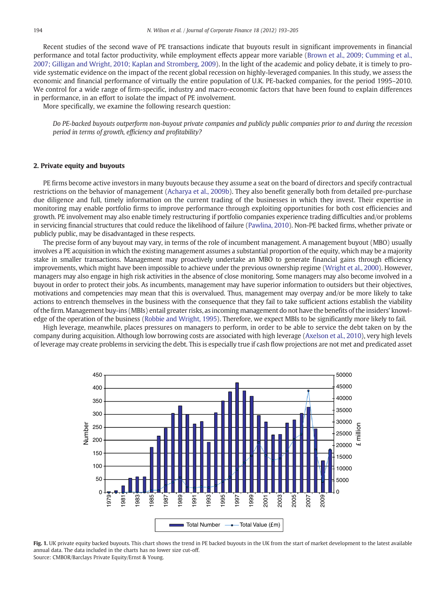<span id="page-1-0"></span>Recent studies of the second wave of PE transactions indicate that buyouts result in significant improvements in financial performance and total factor productivity, while employment effects appear more variable [\(Brown et al., 2009; Cumming et al.,](#page--1-0) [2007; Gilligan and Wright, 2010; Kaplan and Stromberg, 2009\)](#page--1-0). In the light of the academic and policy debate, it is timely to provide systematic evidence on the impact of the recent global recession on highly-leveraged companies. In this study, we assess the economic and financial performance of virtually the entire population of U.K. PE-backed companies, for the period 1995–2010. We control for a wide range of firm-specific, industry and macro-economic factors that have been found to explain differences in performance, in an effort to isolate the impact of PE involvement.

More specifically, we examine the following research question:

Do PE-backed buyouts outperform non-buyout private companies and publicly public companies prior to and during the recession period in terms of growth, efficiency and profitability?

### 2. Private equity and buyouts

PE firms become active investors in many buyouts because they assume a seat on the board of directors and specify contractual restrictions on the behavior of management [\(Acharya et al., 2009b](#page--1-0)). They also benefit generally both from detailed pre-purchase due diligence and full, timely information on the current trading of the businesses in which they invest. Their expertise in monitoring may enable portfolio firms to improve performance through exploiting opportunities for both cost efficiencies and growth. PE involvement may also enable timely restructuring if portfolio companies experience trading difficulties and/or problems in servicing financial structures that could reduce the likelihood of failure ([Pawlina, 2010\)](#page--1-0). Non-PE backed firms, whether private or publicly public, may be disadvantaged in these respects.

The precise form of any buyout may vary, in terms of the role of incumbent management. A management buyout (MBO) usually involves a PE acquisition in which the existing management assumes a substantial proportion of the equity, which may be a majority stake in smaller transactions. Management may proactively undertake an MBO to generate financial gains through efficiency improvements, which might have been impossible to achieve under the previous ownership regime [\(Wright et al., 2000](#page--1-0)). However, managers may also engage in high risk activities in the absence of close monitoring. Some managers may also become involved in a buyout in order to protect their jobs. As incumbents, management may have superior information to outsiders but their objectives, motivations and competencies may mean that this is overvalued. Thus, management may overpay and/or be more likely to take actions to entrench themselves in the business with the consequence that they fail to take sufficient actions establish the viability of the firm. Management buy-ins (MBIs) entail greater risks, as incoming management do not have the benefits of the insiders' knowledge of the operation of the business [\(Robbie and Wright, 1995](#page--1-0)). Therefore, we expect MBIs to be significantly more likely to fail.

High leverage, meanwhile, places pressures on managers to perform, in order to be able to service the debt taken on by the company during acquisition. Although low borrowing costs are associated with high leverage [\(Axelson et al., 2010\)](#page--1-0), very high levels of leverage may create problems in servicing the debt. This is especially true if cash flow projections are not met and predicated asset



Fig. 1. UK private equity backed buyouts. This chart shows the trend in PE backed buyouts in the UK from the start of market development to the latest available annual data. The data included in the charts has no lower size cut-off. Source: CMBOR/Barclays Private Equity/Ernst & Young.